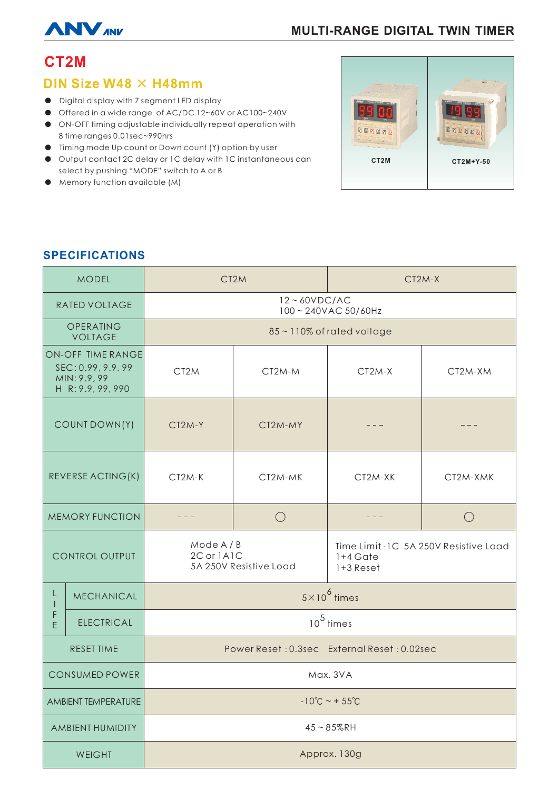# **MULTI-RANGE DIGITAL TWIN TIMER**



# **CT2M**

# DIN Size W48  $\times$  H48mm

- Digital display with 7 segment LED display
- Offered in a wide range of AC/DC 12~60V or AC100~240V
- ON-OFF timing adjustable individually repeat operation with 8 time ranges 0.01sec~990hrs
- Timing mode Up count or Down count (Y) option by user
- Output contact 2C delay or 1C delay with 1C instantaneous can select by pushing "MODE" switch to A or B
- Memory function available (M)



## **SPECIFICATIONS**

| <b>MODEL</b>                                                                 |                   | CT <sub>2M</sub>                                   |            | CT <sub>2</sub> M-X                                                |            |
|------------------------------------------------------------------------------|-------------------|----------------------------------------------------|------------|--------------------------------------------------------------------|------------|
| RATED VOLTAGE                                                                |                   | $12 \sim 60 VDC/AC$<br>100~240VAC 50/60Hz          |            |                                                                    |            |
| OPERATING<br><b>VOLTAGE</b>                                                  |                   | 85~110% of rated voltage                           |            |                                                                    |            |
| ON-OFF TIME RANGE<br>SEC: 0.99, 9.9, 99<br>MIN: 9.9, 99<br>H R: 9.9, 99, 990 |                   | CT <sub>2M</sub>                                   | CT2M-M     | CT <sub>2</sub> M-X                                                | CT2M-XM    |
| COUNT DOWN(Y)                                                                |                   | CT <sub>2</sub> M-Y                                | CT2M-MY    |                                                                    |            |
| REVERSE ACTING(K)                                                            |                   | CT <sub>2</sub> M-K                                | CT2M-MK    | CT2M-XK                                                            | CT2M-XMK   |
| <b>MEMORY FUNCTION</b>                                                       |                   |                                                    | $\bigcirc$ |                                                                    | $\bigcirc$ |
| CONTROL OUTPUT                                                               |                   | Mode A / B<br>2C or 1A1C<br>5A 250V Resistive Load |            | Time Limit: IC 5A 250V Resistive Load<br>$1+4$ Gate<br>$1+3$ Reset |            |
| L                                                                            | <b>MECHANICAL</b> | $5\times10^6$ times                                |            |                                                                    |            |
| F<br>E                                                                       | <b>ELECTRICAL</b> | $10^5$ times                                       |            |                                                                    |            |
| <b>RESET TIME</b>                                                            |                   | Power Reset: 0.3sec External Reset: 0.02sec        |            |                                                                    |            |
| <b>CONSUMED POWER</b>                                                        |                   | Max. 3VA                                           |            |                                                                    |            |
| AMBIENT TEMPERATURE                                                          |                   | $-10^{\circ}C - 55^{\circ}C$                       |            |                                                                    |            |
| AMBIENT HUMIDITY                                                             |                   | $45 - 85%$ RH                                      |            |                                                                    |            |
| <b>WEIGHT</b>                                                                |                   | Approx. 130g                                       |            |                                                                    |            |